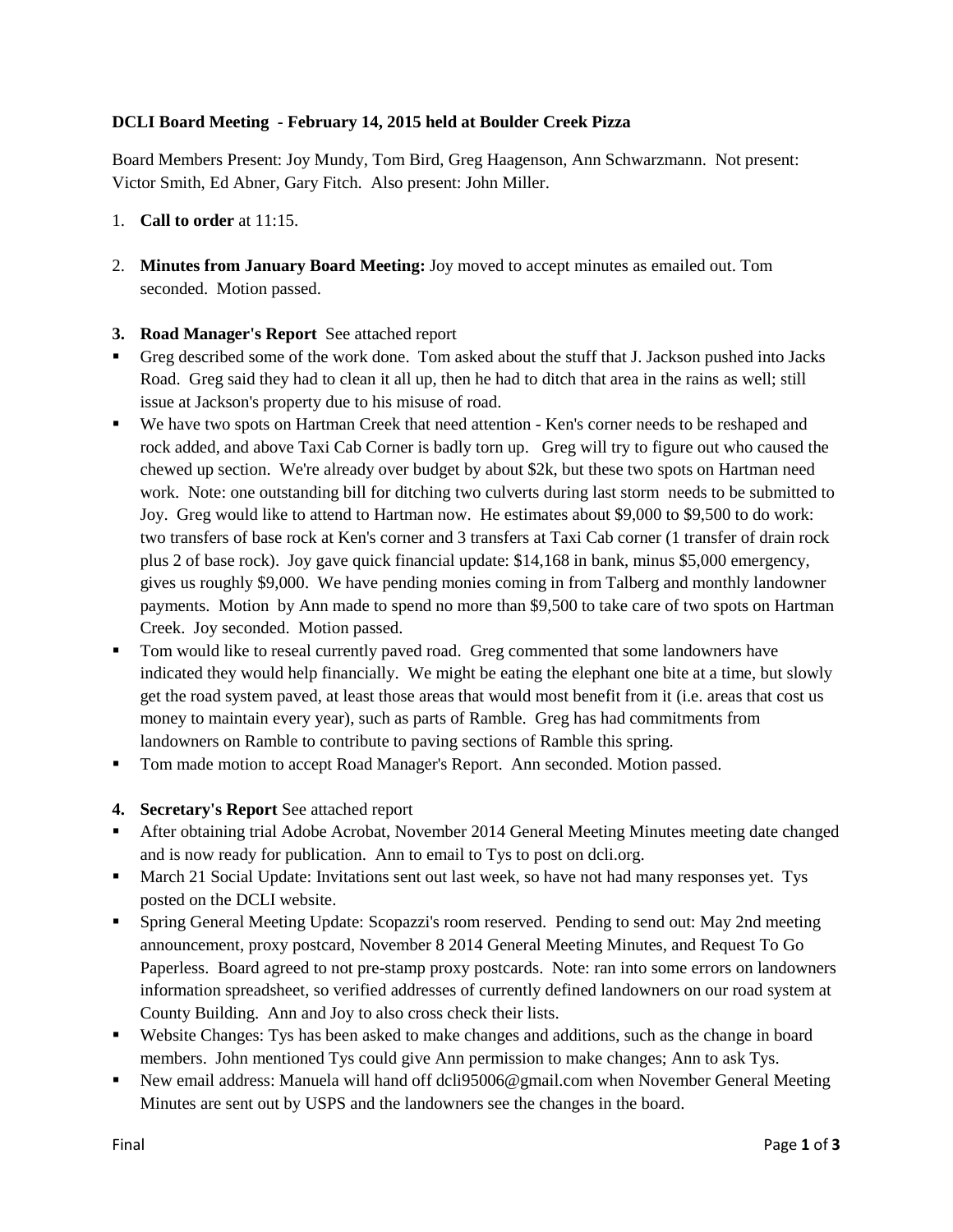## **DCLI Board Meeting - February 14, 2015 held at Boulder Creek Pizza**

Board Members Present: Joy Mundy, Tom Bird, Greg Haagenson, Ann Schwarzmann. Not present: Victor Smith, Ed Abner, Gary Fitch. Also present: John Miller.

- 1. **Call to order** at 11:15.
- 2. **Minutes from January Board Meeting:** Joy moved to accept minutes as emailed out. Tom seconded. Motion passed.

#### **3. Road Manager's Report** See attached report

- Greg described some of the work done. Tom asked about the stuff that J. Jackson pushed into Jacks Road. Greg said they had to clean it all up, then he had to ditch that area in the rains as well; still issue at Jackson's property due to his misuse of road.
- We have two spots on Hartman Creek that need attention Ken's corner needs to be reshaped and rock added, and above Taxi Cab Corner is badly torn up. Greg will try to figure out who caused the chewed up section. We're already over budget by about \$2k, but these two spots on Hartman need work. Note: one outstanding bill for ditching two culverts during last storm needs to be submitted to Joy. Greg would like to attend to Hartman now. He estimates about \$9,000 to \$9,500 to do work: two transfers of base rock at Ken's corner and 3 transfers at Taxi Cab corner (1 transfer of drain rock plus 2 of base rock). Joy gave quick financial update: \$14,168 in bank, minus \$5,000 emergency, gives us roughly \$9,000. We have pending monies coming in from Talberg and monthly landowner payments. Motion by Ann made to spend no more than \$9,500 to take care of two spots on Hartman Creek. Joy seconded. Motion passed.
- Tom would like to reseal currently paved road. Greg commented that some landowners have indicated they would help financially. We might be eating the elephant one bite at a time, but slowly get the road system paved, at least those areas that would most benefit from it (i.e. areas that cost us money to maintain every year), such as parts of Ramble. Greg has had commitments from landowners on Ramble to contribute to paving sections of Ramble this spring.
- Tom made motion to accept Road Manager's Report. Ann seconded. Motion passed.
- **4. Secretary's Report** See attached report
- After obtaining trial Adobe Acrobat, November 2014 General Meeting Minutes meeting date changed and is now ready for publication. Ann to email to Tys to post on dcli.org.
- **March 21 Social Update: Invitations sent out last week, so have not had many responses yet. Tys** posted on the DCLI website.
- Spring General Meeting Update: Scopazzi's room reserved. Pending to send out: May 2nd meeting announcement, proxy postcard, November 8 2014 General Meeting Minutes, and Request To Go Paperless. Board agreed to not pre-stamp proxy postcards. Note: ran into some errors on landowners information spreadsheet, so verified addresses of currently defined landowners on our road system at County Building. Ann and Joy to also cross check their lists.
- Website Changes: Tys has been asked to make changes and additions, such as the change in board members. John mentioned Tys could give Ann permission to make changes; Ann to ask Tys.
- New email address: Manuela will hand off dcli95006@gmail.com when November General Meeting Minutes are sent out by USPS and the landowners see the changes in the board.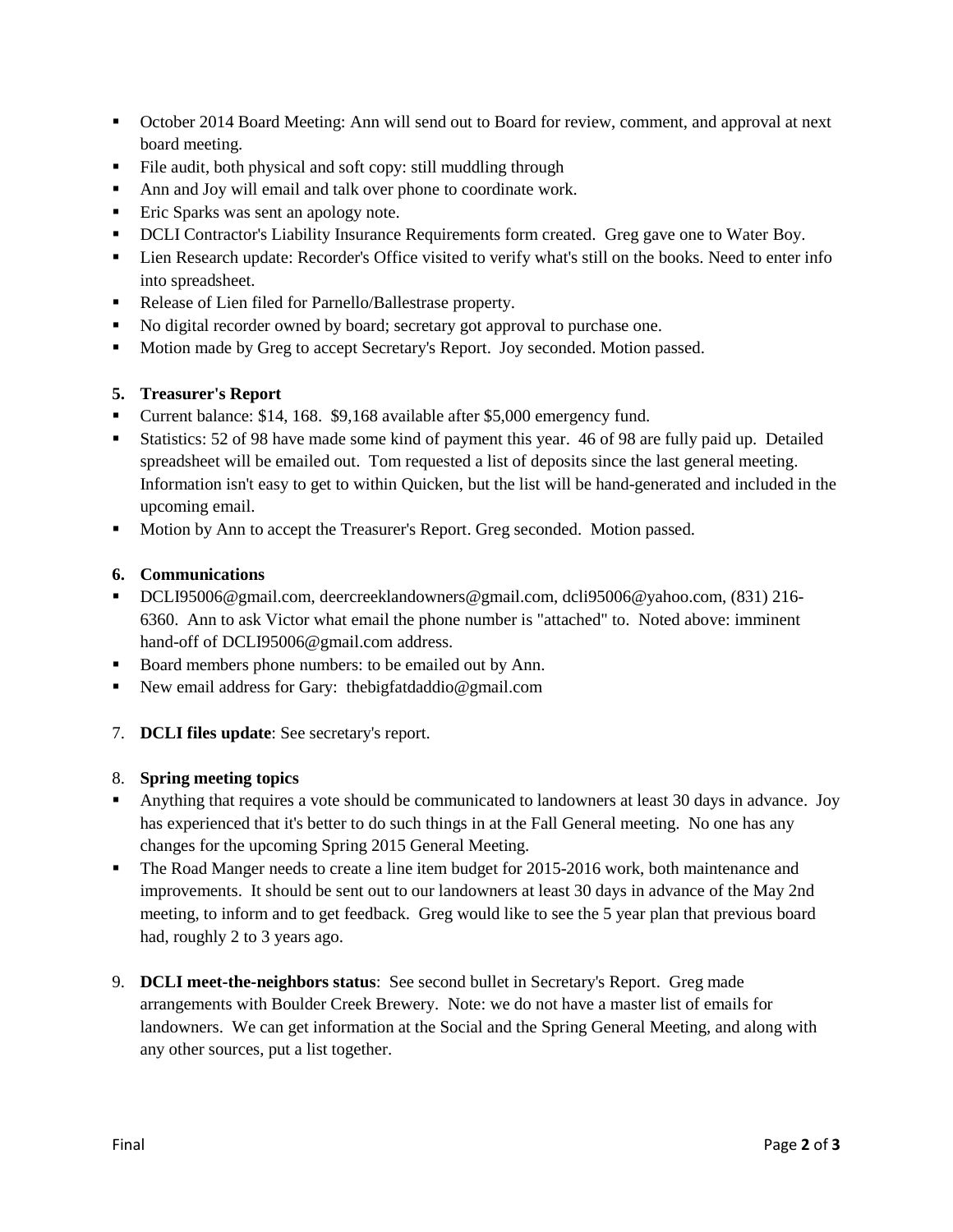- October 2014 Board Meeting: Ann will send out to Board for review, comment, and approval at next board meeting.
- File audit, both physical and soft copy: still muddling through
- Ann and Joy will email and talk over phone to coordinate work.
- **Eric Sparks was sent an apology note.**
- **DCLI** Contractor's Liability Insurance Requirements form created. Greg gave one to Water Boy.
- Lien Research update: Recorder's Office visited to verify what's still on the books. Need to enter info into spreadsheet.
- Release of Lien filed for Parnello/Ballestrase property.
- No digital recorder owned by board; secretary got approval to purchase one.
- **Motion made by Greg to accept Secretary's Report. Joy seconded. Motion passed.**

### **5. Treasurer's Report**

- Current balance: \$14, 168. \$9,168 available after \$5,000 emergency fund.
- Statistics: 52 of 98 have made some kind of payment this year. 46 of 98 are fully paid up. Detailed spreadsheet will be emailed out. Tom requested a list of deposits since the last general meeting. Information isn't easy to get to within Quicken, but the list will be hand-generated and included in the upcoming email.
- Motion by Ann to accept the Treasurer's Report. Greg seconded. Motion passed.

## **6. Communications**

- [DCLI95006@gmail.com,](mailto:DCLI95006@gmail.com) [deercreeklandowners@gmail.com,](mailto:deercreeklandowners@gmail.com) [dcli95006@yahoo.com,](mailto:dcli@yahoo.com) (831) 216- 6360. Ann to ask Victor what email the phone number is "attached" to. Noted above: imminent hand-off of DCLI95006@gmail.com address.
- Board members phone numbers: to be emailed out by Ann.
- New email address for Gary: thebigfatdaddio@gmail.com
- 7. **DCLI files update**: See secretary's report.

#### 8. **Spring meeting topics**

- Anything that requires a vote should be communicated to landowners at least 30 days in advance. Joy has experienced that it's better to do such things in at the Fall General meeting. No one has any changes for the upcoming Spring 2015 General Meeting.
- The Road Manger needs to create a line item budget for 2015-2016 work, both maintenance and improvements. It should be sent out to our landowners at least 30 days in advance of the May 2nd meeting, to inform and to get feedback. Greg would like to see the 5 year plan that previous board had, roughly 2 to 3 years ago.
- 9. **DCLI meet-the-neighbors status**: See second bullet in Secretary's Report. Greg made arrangements with Boulder Creek Brewery. Note: we do not have a master list of emails for landowners. We can get information at the Social and the Spring General Meeting, and along with any other sources, put a list together.